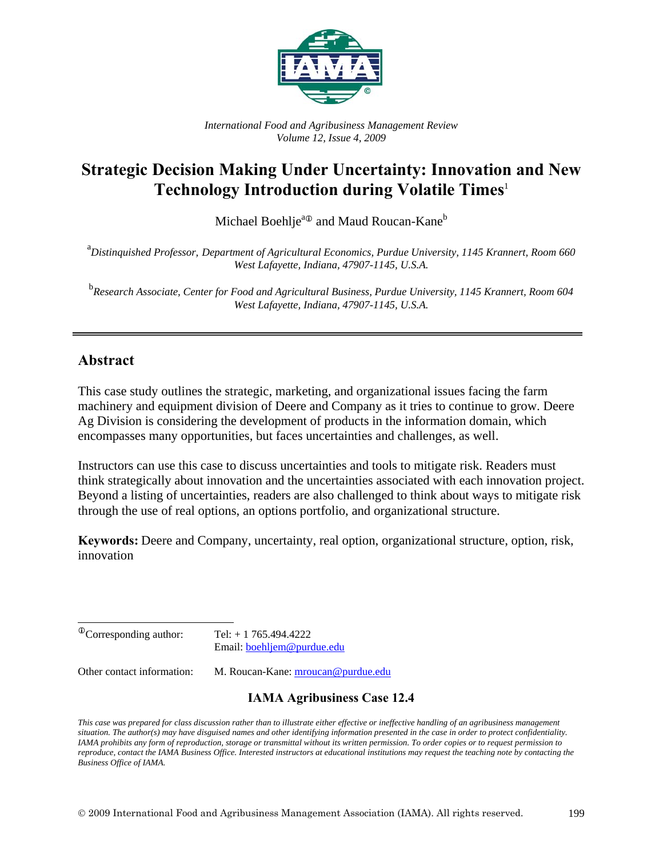

*International Food and Agribusiness Management Review Volume 12, Issue 4, 2009* 

# **Strategic Decision Making Under Uncertainty: Innovation and New Technology Introduction during Volatile Times**<sup>1</sup>

Michael Boehlje<sup>a</sup> and Maud Roucan-Kane<sup>b</sup>

a *Distinquished Professor, Department of Agricultural Economics, Purdue University, 1145 Krannert, Room 660 West Lafayette, Indiana, 47907-1145, U.S.A.* 

<sup>b</sup><br>Research Associate, Center for Food and Agricultural Business, Purdue University, 1145 Krannert, Room 604 *West Lafayette, Indiana, 47907-1145, U.S.A.* 

## **Abstract**

This case study outlines the strategic, marketing, and organizational issues facing the farm machinery and equipment division of Deere and Company as it tries to continue to grow. Deere Ag Division is considering the development of products in the information domain, which encompasses many opportunities, but faces uncertainties and challenges, as well.

Instructors can use this case to discuss uncertainties and tools to mitigate risk. Readers must think strategically about innovation and the uncertainties associated with each innovation project. Beyond a listing of uncertainties, readers are also challenged to think about ways to mitigate risk through the use of real options, an options portfolio, and organizational structure.

**Keywords:** Deere and Company, uncertainty, real option, organizational structure, option, risk, innovation

| <sup>®</sup> Corresponding author:<br>Tel: $+ 1765.494.4222$<br>Email: boehljem@purdue.edu<br>Other contact information:<br>M. Roucan-Kane: mroucan@purdue.edu | <b>IAMA Agribusiness Case 12.4</b> |
|----------------------------------------------------------------------------------------------------------------------------------------------------------------|------------------------------------|
|                                                                                                                                                                |                                    |
|                                                                                                                                                                |                                    |

*This case was prepared for class discussion rather than to illustrate either effective or ineffective handling of an agribusiness management situation. The author(s) may have disguised names and other identifying information presented in the case in order to protect confidentiality. IAMA prohibits any form of reproduction, storage or transmittal without its written permission. To order copies or to request permission to reproduce, contact the IAMA Business Office. Interested instructors at educational institutions may request the teaching note by contacting the Business Office of IAMA.*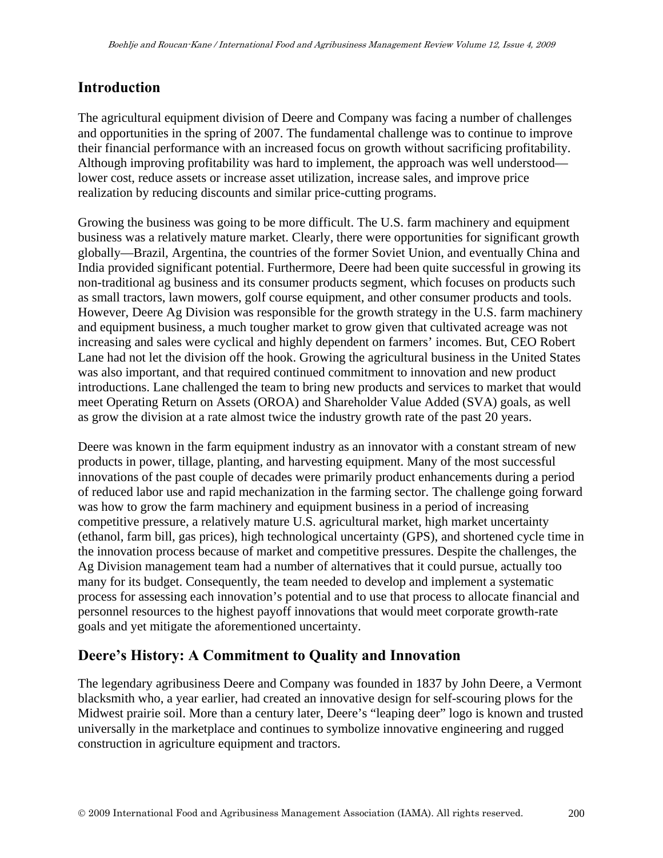## **Introduction**

The agricultural equipment division of Deere and Company was facing a number of challenges and opportunities in the spring of 2007. The fundamental challenge was to continue to improve their financial performance with an increased focus on growth without sacrificing profitability. Although improving profitability was hard to implement, the approach was well understood lower cost, reduce assets or increase asset utilization, increase sales, and improve price realization by reducing discounts and similar price-cutting programs.

Growing the business was going to be more difficult. The U.S. farm machinery and equipment business was a relatively mature market. Clearly, there were opportunities for significant growth globally—Brazil, Argentina, the countries of the former Soviet Union, and eventually China and India provided significant potential. Furthermore, Deere had been quite successful in growing its non-traditional ag business and its consumer products segment, which focuses on products such as small tractors, lawn mowers, golf course equipment, and other consumer products and tools. However, Deere Ag Division was responsible for the growth strategy in the U.S. farm machinery and equipment business, a much tougher market to grow given that cultivated acreage was not increasing and sales were cyclical and highly dependent on farmers' incomes. But, CEO Robert Lane had not let the division off the hook. Growing the agricultural business in the United States was also important, and that required continued commitment to innovation and new product introductions. Lane challenged the team to bring new products and services to market that would meet Operating Return on Assets (OROA) and Shareholder Value Added (SVA) goals, as well as grow the division at a rate almost twice the industry growth rate of the past 20 years.

Deere was known in the farm equipment industry as an innovator with a constant stream of new products in power, tillage, planting, and harvesting equipment. Many of the most successful innovations of the past couple of decades were primarily product enhancements during a period of reduced labor use and rapid mechanization in the farming sector. The challenge going forward was how to grow the farm machinery and equipment business in a period of increasing competitive pressure, a relatively mature U.S. agricultural market, high market uncertainty (ethanol, farm bill, gas prices), high technological uncertainty (GPS), and shortened cycle time in the innovation process because of market and competitive pressures. Despite the challenges, the Ag Division management team had a number of alternatives that it could pursue, actually too many for its budget. Consequently, the team needed to develop and implement a systematic process for assessing each innovation's potential and to use that process to allocate financial and personnel resources to the highest payoff innovations that would meet corporate growth-rate goals and yet mitigate the aforementioned uncertainty.

## **Deere's History: A Commitment to Quality and Innovation**

The legendary agribusiness Deere and Company was founded in 1837 by John Deere, a Vermont blacksmith who, a year earlier, had created an innovative design for self-scouring plows for the Midwest prairie soil. More than a century later, Deere's "leaping deer" logo is known and trusted universally in the marketplace and continues to symbolize innovative engineering and rugged construction in agriculture equipment and tractors.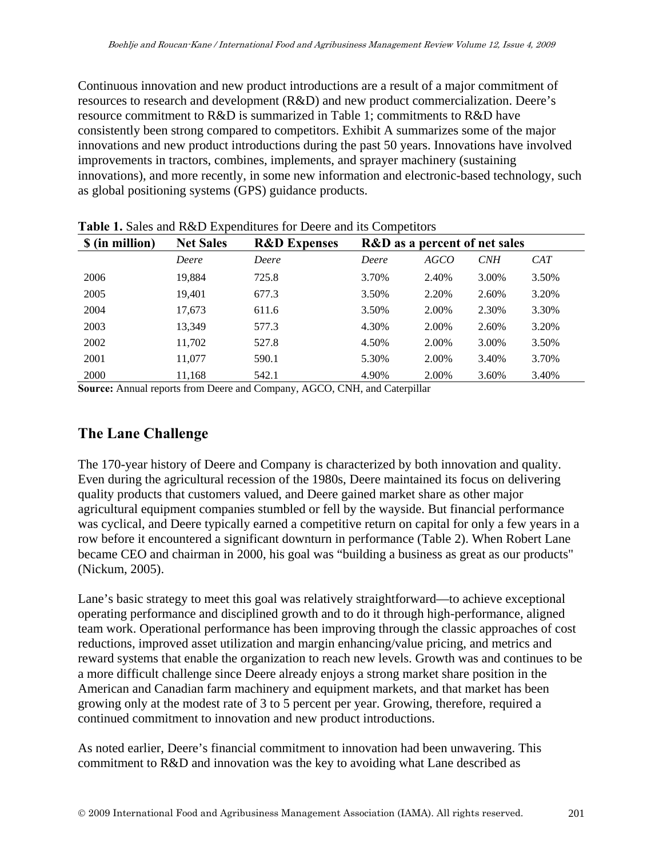Continuous innovation and new product introductions are a result of a major commitment of resources to research and development (R&D) and new product commercialization. Deere's resource commitment to R&D is summarized in Table 1; commitments to R&D have consistently been strong compared to competitors. Exhibit A summarizes some of the major innovations and new product introductions during the past 50 years. Innovations have involved improvements in tractors, combines, implements, and sprayer machinery (sustaining innovations), and more recently, in some new information and electronic-based technology, such as global positioning systems (GPS) guidance products.

| <b>Table 1.</b> Bares and R&D Expenditures for Decre and his competitors |                  |                         |                                          |             |            |       |
|--------------------------------------------------------------------------|------------------|-------------------------|------------------------------------------|-------------|------------|-------|
| \$ (in million)                                                          | <b>Net Sales</b> | <b>R&amp;D</b> Expenses | <b>R&amp;D</b> as a percent of net sales |             |            |       |
|                                                                          | Deere            | Deere                   | Deere                                    | <i>AGCO</i> | <b>CNH</b> | CAT   |
| 2006                                                                     | 19,884           | 725.8                   | 3.70%                                    | 2.40%       | 3.00%      | 3.50% |
| 2005                                                                     | 19,401           | 677.3                   | 3.50%                                    | 2.20%       | 2.60%      | 3.20% |
| 2004                                                                     | 17,673           | 611.6                   | 3.50%                                    | 2.00%       | 2.30%      | 3.30% |
| 2003                                                                     | 13,349           | 577.3                   | 4.30%                                    | 2.00%       | 2.60%      | 3.20% |
| 2002                                                                     | 11,702           | 527.8                   | 4.50%                                    | 2.00%       | 3.00%      | 3.50% |
| 2001                                                                     | 11,077           | 590.1                   | 5.30%                                    | 2.00%       | 3.40%      | 3.70% |
| 2000                                                                     | 11,168           | 542.1                   | 4.90%                                    | 2.00%       | 3.60%      | 3.40% |

**Table 1.** Sales and R&D Expenditures for Deere and its Competitors

**Source:** Annual reports from Deere and Company, AGCO, CNH, and Caterpillar

# **The Lane Challenge**

The 170-year history of Deere and Company is characterized by both innovation and quality. Even during the agricultural recession of the 1980s, Deere maintained its focus on delivering quality products that customers valued, and Deere gained market share as other major agricultural equipment companies stumbled or fell by the wayside. But financial performance was cyclical, and Deere typically earned a competitive return on capital for only a few years in a row before it encountered a significant downturn in performance (Table 2). When Robert Lane became CEO and chairman in 2000, his goal was "building a business as great as our products" (Nickum, 2005).

Lane's basic strategy to meet this goal was relatively straightforward—to achieve exceptional operating performance and disciplined growth and to do it through high-performance, aligned team work. Operational performance has been improving through the classic approaches of cost reductions, improved asset utilization and margin enhancing/value pricing, and metrics and reward systems that enable the organization to reach new levels. Growth was and continues to be a more difficult challenge since Deere already enjoys a strong market share position in the American and Canadian farm machinery and equipment markets, and that market has been growing only at the modest rate of 3 to 5 percent per year. Growing, therefore, required a continued commitment to innovation and new product introductions.

As noted earlier, Deere's financial commitment to innovation had been unwavering. This commitment to R&D and innovation was the key to avoiding what Lane described as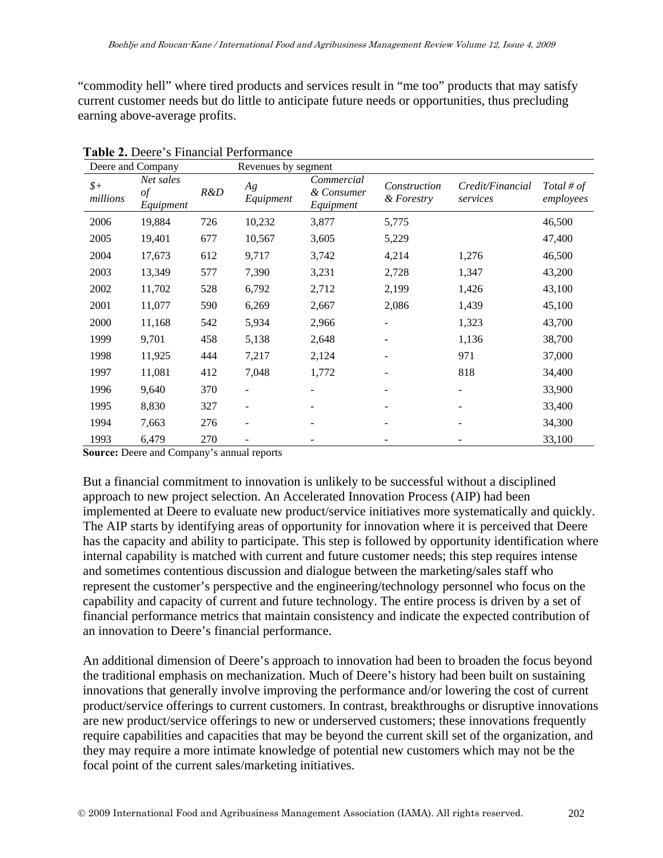"commodity hell" where tired products and services result in "me too" products that may satisfy current customer needs but do little to anticipate future needs or opportunities, thus precluding earning above-average profits.

| Deere and Company |                              |     | Revenues by segment      |                                       |                            |                              |                         |
|-------------------|------------------------------|-----|--------------------------|---------------------------------------|----------------------------|------------------------------|-------------------------|
| $$+$<br>millions  | Net sales<br>of<br>Equipment | R&D | Ag<br>Equipment          | Commercial<br>& Consumer<br>Equipment | Construction<br>& Forestry | Credit/Financial<br>services | Total # of<br>employees |
| 2006              | 19,884                       | 726 | 10,232                   | 3,877                                 | 5,775                      |                              | 46,500                  |
| 2005              | 19,401                       | 677 | 10,567                   | 3,605                                 | 5,229                      |                              | 47,400                  |
| 2004              | 17,673                       | 612 | 9,717                    | 3,742                                 | 4,214                      | 1,276                        | 46,500                  |
| 2003              | 13,349                       | 577 | 7,390                    | 3,231                                 | 2,728                      | 1,347                        | 43,200                  |
| 2002              | 11,702                       | 528 | 6,792                    | 2,712                                 | 2,199                      | 1,426                        | 43,100                  |
| 2001              | 11,077                       | 590 | 6,269                    | 2,667                                 | 2,086                      | 1,439                        | 45,100                  |
| 2000              | 11,168                       | 542 | 5,934                    | 2,966                                 |                            | 1,323                        | 43,700                  |
| 1999              | 9,701                        | 458 | 5,138                    | 2,648                                 |                            | 1,136                        | 38,700                  |
| 1998              | 11,925                       | 444 | 7,217                    | 2,124                                 |                            | 971                          | 37,000                  |
| 1997              | 11,081                       | 412 | 7,048                    | 1,772                                 |                            | 818                          | 34,400                  |
| 1996              | 9,640                        | 370 | $\overline{\phantom{a}}$ | ۰                                     |                            |                              | 33,900                  |
| 1995              | 8,830                        | 327 |                          |                                       |                            |                              | 33,400                  |
| 1994              | 7,663                        | 276 |                          |                                       |                            |                              | 34,300                  |
| 1993              | 6,479                        | 270 |                          |                                       |                            |                              | 33,100                  |

**Table 2.** Deere's Financial Performance

**Source:** Deere and Company's annual reports

But a financial commitment to innovation is unlikely to be successful without a disciplined approach to new project selection. An Accelerated Innovation Process (AIP) had been implemented at Deere to evaluate new product/service initiatives more systematically and quickly. The AIP starts by identifying areas of opportunity for innovation where it is perceived that Deere has the capacity and ability to participate. This step is followed by opportunity identification where internal capability is matched with current and future customer needs; this step requires intense and sometimes contentious discussion and dialogue between the marketing/sales staff who represent the customer's perspective and the engineering/technology personnel who focus on the capability and capacity of current and future technology. The entire process is driven by a set of financial performance metrics that maintain consistency and indicate the expected contribution of an innovation to Deere's financial performance.

An additional dimension of Deere's approach to innovation had been to broaden the focus beyond the traditional emphasis on mechanization. Much of Deere's history had been built on sustaining innovations that generally involve improving the performance and/or lowering the cost of current product/service offerings to current customers. In contrast, breakthroughs or disruptive innovations are new product/service offerings to new or underserved customers; these innovations frequently require capabilities and capacities that may be beyond the current skill set of the organization, and they may require a more intimate knowledge of potential new customers which may not be the focal point of the current sales/marketing initiatives.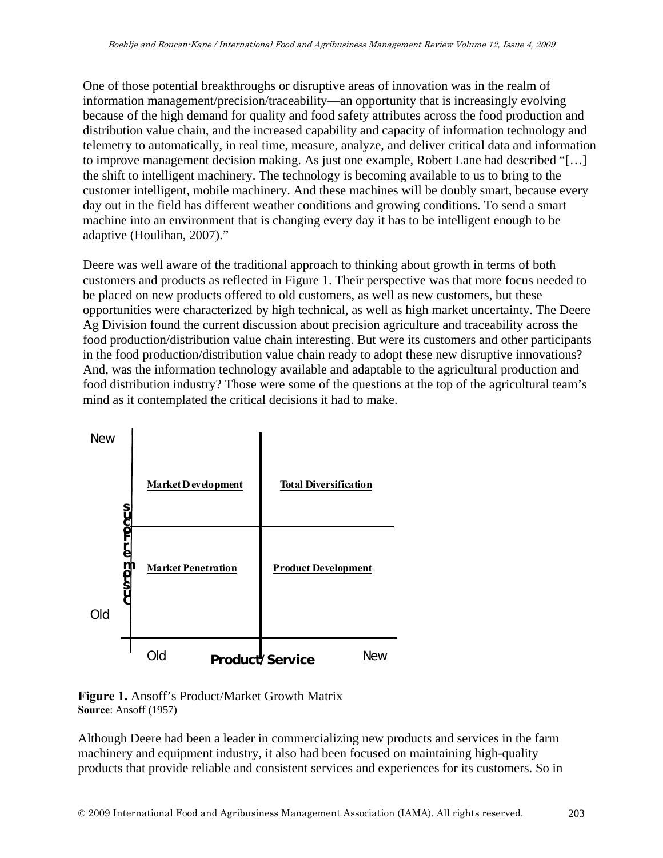One of those potential breakthroughs or disruptive areas of innovation was in the realm of information management/precision/traceability—an opportunity that is increasingly evolving because of the high demand for quality and food safety attributes across the food production and distribution value chain, and the increased capability and capacity of information technology and telemetry to automatically, in real time, measure, analyze, and deliver critical data and information to improve management decision making. As just one example, Robert Lane had described "[…] the shift to intelligent machinery. The technology is becoming available to us to bring to the customer intelligent, mobile machinery. And these machines will be doubly smart, because every day out in the field has different weather conditions and growing conditions. To send a smart machine into an environment that is changing every day it has to be intelligent enough to be adaptive (Houlihan, 2007)."

Deere was well aware of the traditional approach to thinking about growth in terms of both customers and products as reflected in Figure 1. Their perspective was that more focus needed to be placed on new products offered to old customers, as well as new customers, but these opportunities were characterized by high technical, as well as high market uncertainty. The Deere Ag Division found the current discussion about precision agriculture and traceability across the food production/distribution value chain interesting. But were its customers and other participants in the food production/distribution value chain ready to adopt these new disruptive innovations? And, was the information technology available and adaptable to the agricultural production and food distribution industry? Those were some of the questions at the top of the agricultural team's mind as it contemplated the critical decisions it had to make.





Although Deere had been a leader in commercializing new products and services in the farm machinery and equipment industry, it also had been focused on maintaining high-quality products that provide reliable and consistent services and experiences for its customers. So in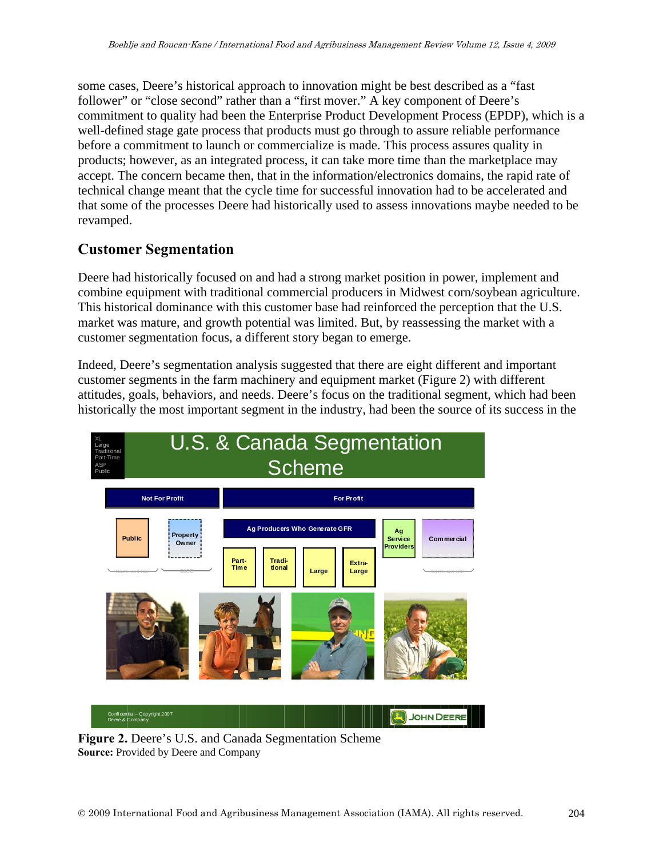some cases, Deere's historical approach to innovation might be best described as a "fast follower" or "close second" rather than a "first mover." A key component of Deere's commitment to quality had been the Enterprise Product Development Process (EPDP), which is a well-defined stage gate process that products must go through to assure reliable performance before a commitment to launch or commercialize is made. This process assures quality in products; however, as an integrated process, it can take more time than the marketplace may accept. The concern became then, that in the information/electronics domains, the rapid rate of technical change meant that the cycle time for successful innovation had to be accelerated and that some of the processes Deere had historically used to assess innovations maybe needed to be revamped.

## **Customer Segmentation**

Deere had historically focused on and had a strong market position in power, implement and combine equipment with traditional commercial producers in Midwest corn/soybean agriculture. This historical dominance with this customer base had reinforced the perception that the U.S. market was mature, and growth potential was limited. But, by reassessing the market with a customer segmentation focus, a different story began to emerge.

Indeed, Deere's segmentation analysis suggested that there are eight different and important customer segments in the farm machinery and equipment market (Figure 2) with different attitudes, goals, behaviors, and needs. Deere's focus on the traditional segment, which had been historically the most important segment in the industry, had been the source of its success in the



**Figure 2.** Deere's U.S. and Canada Segmentation Scheme **Source:** Provided by Deere and Company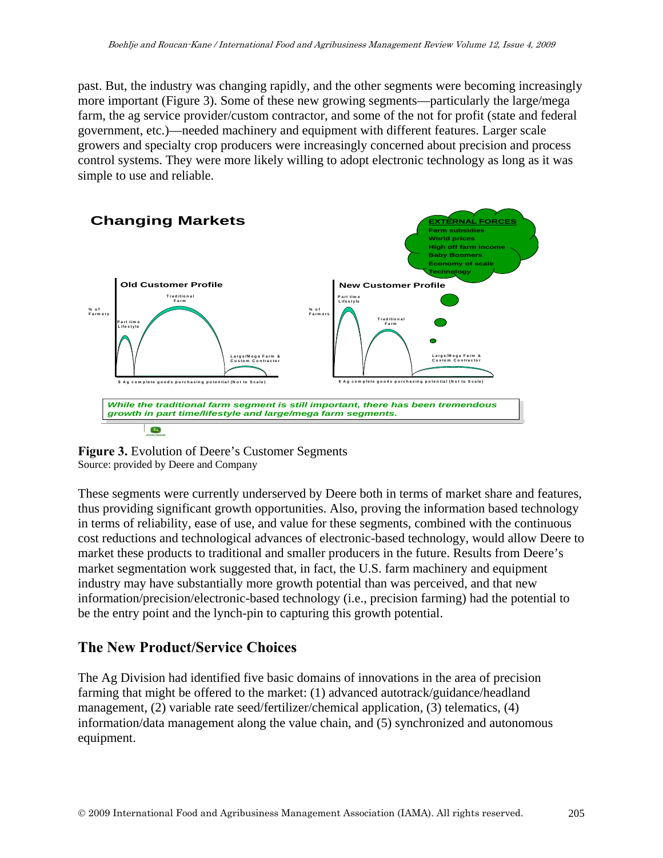past. But, the industry was changing rapidly, and the other segments were becoming increasingly more important (Figure 3). Some of these new growing segments—particularly the large/mega farm, the ag service provider/custom contractor, and some of the not for profit (state and federal government, etc.)—needed machinery and equipment with different features. Larger scale growers and specialty crop producers were increasingly concerned about precision and process control systems. They were more likely willing to adopt electronic technology as long as it was simple to use and reliable.



**Figure 3.** Evolution of Deere's Customer Segments Source: provided by Deere and Company

These segments were currently underserved by Deere both in terms of market share and features, thus providing significant growth opportunities. Also, proving the information based technology in terms of reliability, ease of use, and value for these segments, combined with the continuous cost reductions and technological advances of electronic-based technology, would allow Deere to market these products to traditional and smaller producers in the future. Results from Deere's market segmentation work suggested that, in fact, the U.S. farm machinery and equipment industry may have substantially more growth potential than was perceived, and that new information/precision/electronic-based technology (i.e., precision farming) had the potential to be the entry point and the lynch-pin to capturing this growth potential.

## **The New Product/Service Choices**

The Ag Division had identified five basic domains of innovations in the area of precision farming that might be offered to the market: (1) advanced autotrack/guidance/headland management, (2) variable rate seed/fertilizer/chemical application, (3) telematics, (4) information/data management along the value chain, and (5) synchronized and autonomous equipment.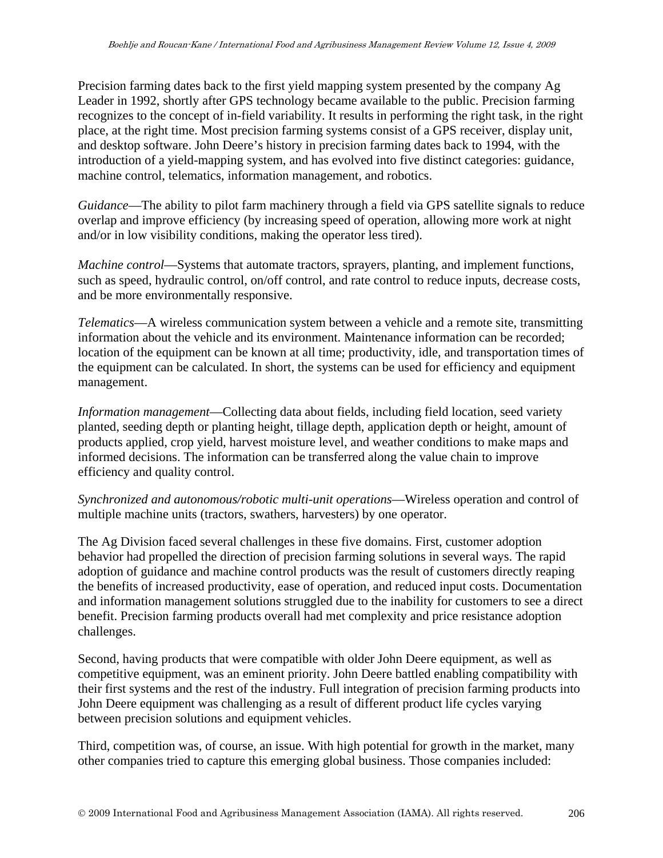Precision farming dates back to the first yield mapping system presented by the company Ag Leader in 1992, shortly after GPS technology became available to the public. Precision farming recognizes to the concept of in-field variability. It results in performing the right task, in the right place, at the right time. Most precision farming systems consist of a GPS receiver, display unit, and desktop software. John Deere's history in precision farming dates back to 1994, with the introduction of a yield-mapping system, and has evolved into five distinct categories: guidance, machine control, telematics, information management, and robotics.

*Guidance*—The ability to pilot farm machinery through a field via GPS satellite signals to reduce overlap and improve efficiency (by increasing speed of operation, allowing more work at night and/or in low visibility conditions, making the operator less tired).

*Machine control*—Systems that automate tractors, sprayers, planting, and implement functions, such as speed, hydraulic control, on/off control, and rate control to reduce inputs, decrease costs, and be more environmentally responsive.

*Telematics*—A wireless communication system between a vehicle and a remote site, transmitting information about the vehicle and its environment. Maintenance information can be recorded; location of the equipment can be known at all time; productivity, idle, and transportation times of the equipment can be calculated. In short, the systems can be used for efficiency and equipment management.

*Information management*—Collecting data about fields, including field location, seed variety planted, seeding depth or planting height, tillage depth, application depth or height, amount of products applied, crop yield, harvest moisture level, and weather conditions to make maps and informed decisions. The information can be transferred along the value chain to improve efficiency and quality control.

*Synchronized and autonomous/robotic multi-unit operations*—Wireless operation and control of multiple machine units (tractors, swathers, harvesters) by one operator.

The Ag Division faced several challenges in these five domains. First, customer adoption behavior had propelled the direction of precision farming solutions in several ways. The rapid adoption of guidance and machine control products was the result of customers directly reaping the benefits of increased productivity, ease of operation, and reduced input costs. Documentation and information management solutions struggled due to the inability for customers to see a direct benefit. Precision farming products overall had met complexity and price resistance adoption challenges.

Second, having products that were compatible with older John Deere equipment, as well as competitive equipment, was an eminent priority. John Deere battled enabling compatibility with their first systems and the rest of the industry. Full integration of precision farming products into John Deere equipment was challenging as a result of different product life cycles varying between precision solutions and equipment vehicles.

Third, competition was, of course, an issue. With high potential for growth in the market, many other companies tried to capture this emerging global business. Those companies included: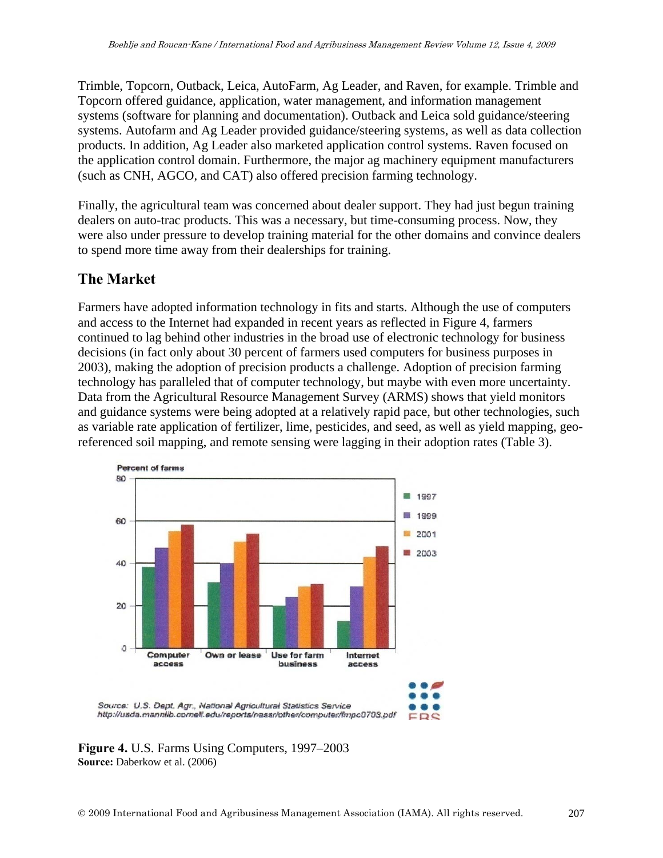Trimble, Topcorn, Outback, Leica, AutoFarm, Ag Leader, and Raven, for example. Trimble and Topcorn offered guidance, application, water management, and information management systems (software for planning and documentation). Outback and Leica sold guidance/steering systems. Autofarm and Ag Leader provided guidance/steering systems, as well as data collection products. In addition, Ag Leader also marketed application control systems. Raven focused on the application control domain. Furthermore, the major ag machinery equipment manufacturers (such as CNH, AGCO, and CAT) also offered precision farming technology.

Finally, the agricultural team was concerned about dealer support. They had just begun training dealers on auto-trac products. This was a necessary, but time-consuming process. Now, they were also under pressure to develop training material for the other domains and convince dealers to spend more time away from their dealerships for training.

## **The Market**

Farmers have adopted information technology in fits and starts. Although the use of computers and access to the Internet had expanded in recent years as reflected in Figure 4, farmers continued to lag behind other industries in the broad use of electronic technology for business decisions (in fact only about 30 percent of farmers used computers for business purposes in 2003), making the adoption of precision products a challenge. Adoption of precision farming technology has paralleled that of computer technology, but maybe with even more uncertainty. Data from the Agricultural Resource Management Survey (ARMS) shows that yield monitors and guidance systems were being adopted at a relatively rapid pace, but other technologies, such as variable rate application of fertilizer, lime, pesticides, and seed, as well as yield mapping, georeferenced soil mapping, and remote sensing were lagging in their adoption rates (Table 3).



**Figure 4.** U.S. Farms Using Computers, 1997–2003 **Source:** Daberkow et al. (2006)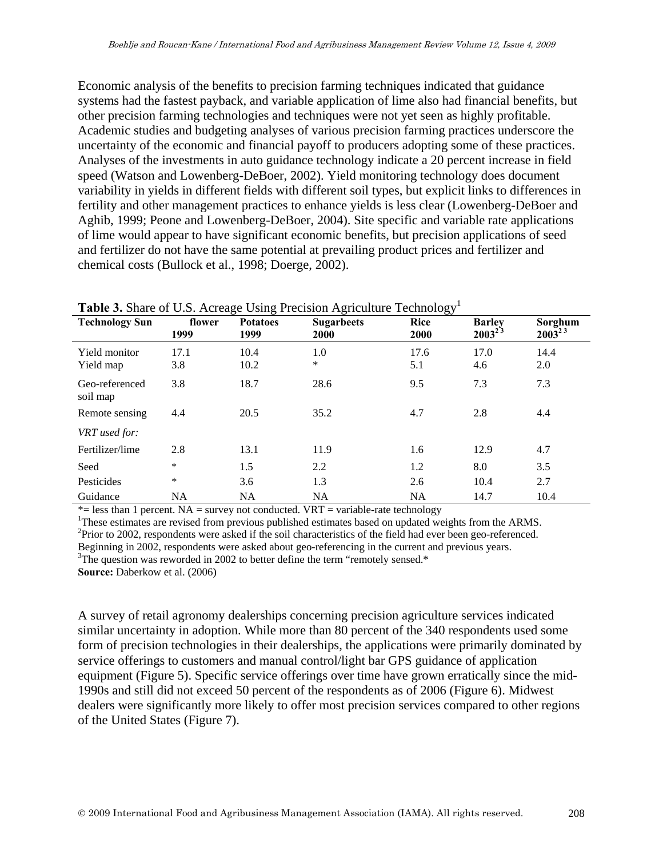Economic analysis of the benefits to precision farming techniques indicated that guidance systems had the fastest payback, and variable application of lime also had financial benefits, but other precision farming technologies and techniques were not yet seen as highly profitable. Academic studies and budgeting analyses of various precision farming practices underscore the uncertainty of the economic and financial payoff to producers adopting some of these practices. Analyses of the investments in auto guidance technology indicate a 20 percent increase in field speed (Watson and Lowenberg-DeBoer, 2002). Yield monitoring technology does document variability in yields in different fields with different soil types, but explicit links to differences in fertility and other management practices to enhance yields is less clear (Lowenberg-DeBoer and Aghib, 1999; Peone and Lowenberg-DeBoer, 2004). Site specific and variable rate applications of lime would appear to have significant economic benefits, but precision applications of seed and fertilizer do not have the same potential at prevailing product prices and fertilizer and chemical costs (Bullock et al., 1998; Doerge, 2002).

| <b>radic 9.</b> Brian of O.B. Acroge Osing Freefsfort Agriculture Technology |                |                         |                           |                     |                              |                        |
|------------------------------------------------------------------------------|----------------|-------------------------|---------------------------|---------------------|------------------------------|------------------------|
| <b>Technology Sun</b>                                                        | flower<br>1999 | <b>Potatoes</b><br>1999 | <b>Sugarbeets</b><br>2000 | <b>Rice</b><br>2000 | <b>Barley</b><br>$2003^{23}$ | Sorghum<br>$2003^{23}$ |
| Yield monitor<br>Yield map                                                   | 17.1<br>3.8    | 10.4<br>10.2            | 1.0<br>$\ast$             | 17.6<br>5.1         | 17.0<br>4.6                  | 14.4<br>2.0            |
| Geo-referenced<br>soil map                                                   | 3.8            | 18.7                    | 28.6                      | 9.5                 | 7.3                          | 7.3                    |
| Remote sensing                                                               | 4.4            | 20.5                    | 35.2                      | 4.7                 | 2.8                          | 4.4                    |
| VRT used for:                                                                |                |                         |                           |                     |                              |                        |
| Fertilizer/lime                                                              | 2.8            | 13.1                    | 11.9                      | 1.6                 | 12.9                         | 4.7                    |
| Seed                                                                         | $\ast$         | 1.5                     | 2.2                       | 1.2                 | 8.0                          | 3.5                    |
| Pesticides                                                                   | ∗              | 3.6                     | 1.3                       | 2.6                 | 10.4                         | 2.7                    |
| Guidance                                                                     | NA             | <b>NA</b>               | NA                        | <b>NA</b>           | 14.7                         | 10.4                   |

#### **Table 3.** Share of U.S. Acreage Using Precision Agriculture Technology1

 $*$ = less than 1 percent. NA = survey not conducted. VRT = variable-rate technology

<sup>1</sup>These estimates are revised from previous published estimates based on updated weights from the ARMS. <sup>2</sup>Prior to 2002, respondents were asked if the soil characteristics of the field had ever been geo-referenced.

Beginning in 2002, respondents were asked about geo-referencing in the current and previous years.

 $3$ The question was reworded in 2002 to better define the term "remotely sensed.\*

**Source:** Daberkow et al. (2006)

A survey of retail agronomy dealerships concerning precision agriculture services indicated similar uncertainty in adoption. While more than 80 percent of the 340 respondents used some form of precision technologies in their dealerships, the applications were primarily dominated by service offerings to customers and manual control/light bar GPS guidance of application equipment (Figure 5). Specific service offerings over time have grown erratically since the mid-1990s and still did not exceed 50 percent of the respondents as of 2006 (Figure 6). Midwest dealers were significantly more likely to offer most precision services compared to other regions of the United States (Figure 7).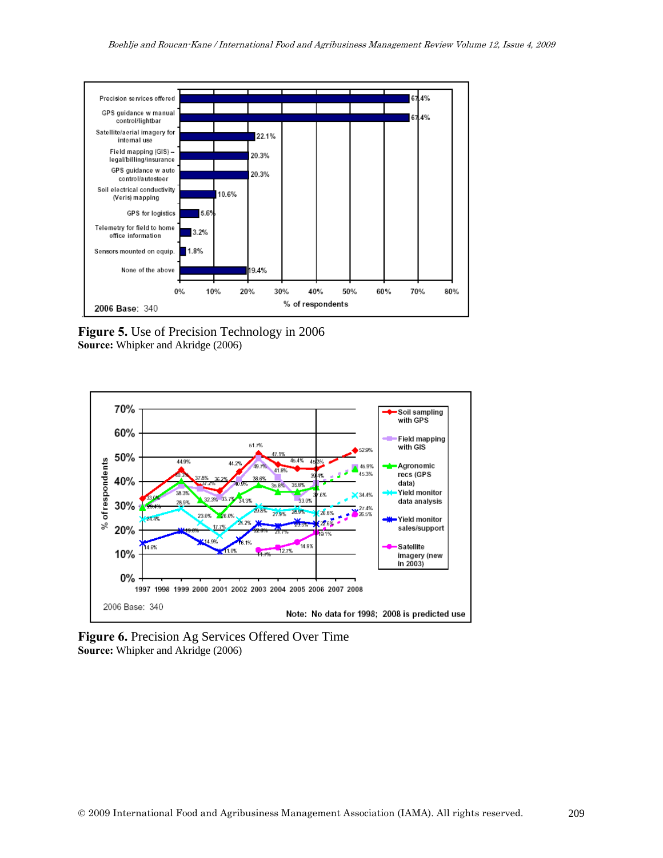

**Figure 5.** Use of Precision Technology in 2006 **Source:** Whipker and Akridge (2006)



**Figure 6.** Precision Ag Services Offered Over Time **Source:** Whipker and Akridge (2006)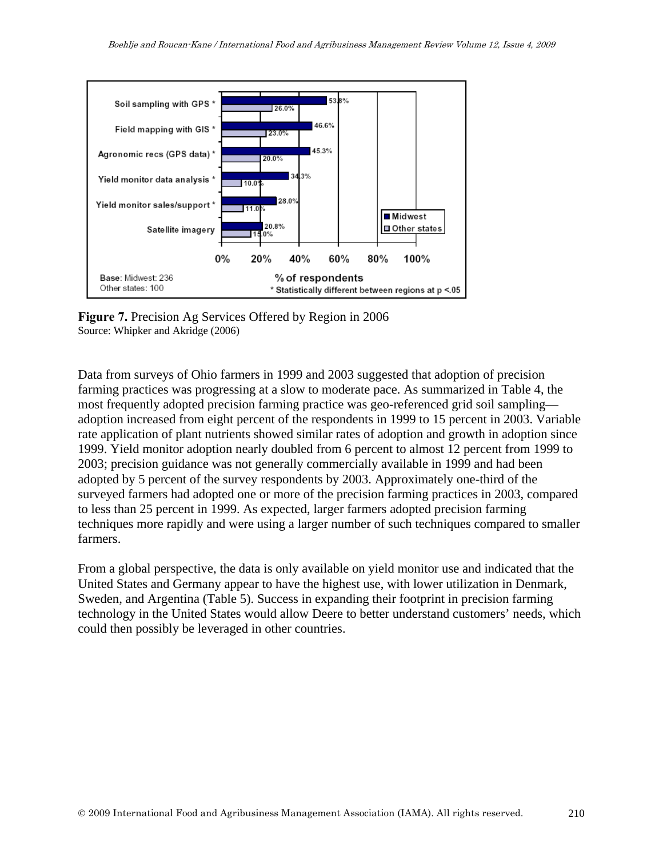

**Figure 7.** Precision Ag Services Offered by Region in 2006 Source: Whipker and Akridge (2006)

Data from surveys of Ohio farmers in 1999 and 2003 suggested that adoption of precision farming practices was progressing at a slow to moderate pace. As summarized in Table 4, the most frequently adopted precision farming practice was geo-referenced grid soil sampling adoption increased from eight percent of the respondents in 1999 to 15 percent in 2003. Variable rate application of plant nutrients showed similar rates of adoption and growth in adoption since 1999. Yield monitor adoption nearly doubled from 6 percent to almost 12 percent from 1999 to 2003; precision guidance was not generally commercially available in 1999 and had been adopted by 5 percent of the survey respondents by 2003. Approximately one-third of the surveyed farmers had adopted one or more of the precision farming practices in 2003, compared to less than 25 percent in 1999. As expected, larger farmers adopted precision farming techniques more rapidly and were using a larger number of such techniques compared to smaller farmers.

From a global perspective, the data is only available on yield monitor use and indicated that the United States and Germany appear to have the highest use, with lower utilization in Denmark, Sweden, and Argentina (Table 5). Success in expanding their footprint in precision farming technology in the United States would allow Deere to better understand customers' needs, which could then possibly be leveraged in other countries.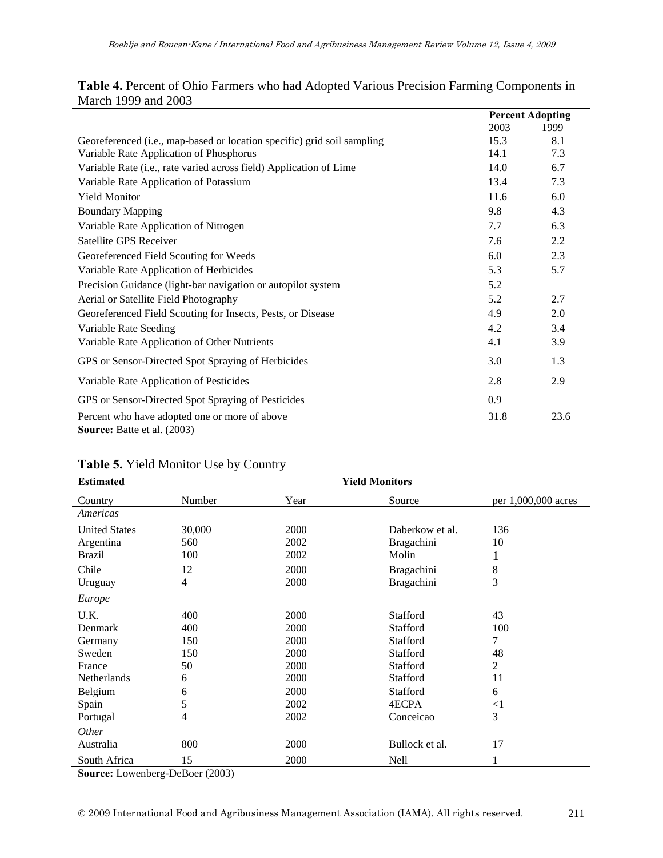|                                                                                           |      | <b>Percent Adopting</b> |
|-------------------------------------------------------------------------------------------|------|-------------------------|
|                                                                                           | 2003 | 1999                    |
| Georeferenced (i.e., map-based or location specific) grid soil sampling                   | 15.3 | 8.1                     |
| Variable Rate Application of Phosphorus                                                   | 14.1 | 7.3                     |
| Variable Rate (i.e., rate varied across field) Application of Lime                        | 14.0 | 6.7                     |
| Variable Rate Application of Potassium                                                    | 13.4 | 7.3                     |
| <b>Yield Monitor</b>                                                                      | 11.6 | 6.0                     |
| <b>Boundary Mapping</b>                                                                   | 9.8  | 4.3                     |
| Variable Rate Application of Nitrogen                                                     | 7.7  | 6.3                     |
| Satellite GPS Receiver                                                                    | 7.6  | 2.2                     |
| Georeferenced Field Scouting for Weeds                                                    | 6.0  | 2.3                     |
| Variable Rate Application of Herbicides                                                   | 5.3  | 5.7                     |
| Precision Guidance (light-bar navigation or autopilot system                              | 5.2  |                         |
| Aerial or Satellite Field Photography                                                     | 5.2  | 2.7                     |
| Georeferenced Field Scouting for Insects, Pests, or Disease                               | 4.9  | 2.0                     |
| Variable Rate Seeding                                                                     | 4.2  | 3.4                     |
| Variable Rate Application of Other Nutrients                                              | 4.1  | 3.9                     |
| GPS or Sensor-Directed Spot Spraying of Herbicides                                        | 3.0  | 1.3                     |
| Variable Rate Application of Pesticides                                                   | 2.8  | 2.9                     |
| GPS or Sensor-Directed Spot Spraying of Pesticides                                        | 0.9  |                         |
| Percent who have adopted one or more of above<br>$P_{\text{tot}}$ $\rightarrow$ 1 (0.000) | 31.8 | 23.6                    |

#### **Table 4.** Percent of Ohio Farmers who had Adopted Various Precision Farming Components in March 1999 and 2003

**Source:** Batte et al. (2003)

#### **Table 5.** Yield Monitor Use by Country

| <b>Estimated</b>     | <b>Yield Monitors</b>                         |      |                   |                     |  |
|----------------------|-----------------------------------------------|------|-------------------|---------------------|--|
| Country              | Number                                        | Year | Source            | per 1,000,000 acres |  |
| Americas             |                                               |      |                   |                     |  |
| <b>United States</b> | 30,000                                        | 2000 | Daberkow et al.   | 136                 |  |
| Argentina            | 560                                           | 2002 | Bragachini        | 10                  |  |
| <b>Brazil</b>        | 100                                           | 2002 | Molin             | T                   |  |
| Chile                | 12                                            | 2000 | Bragachini        | 8                   |  |
| Uruguay              | 4                                             | 2000 | <b>Bragachini</b> | 3                   |  |
| Europe               |                                               |      |                   |                     |  |
| U.K.                 | 400                                           | 2000 | Stafford          | 43                  |  |
| Denmark              | 400                                           | 2000 | Stafford          | 100                 |  |
| Germany              | 150                                           | 2000 | <b>Stafford</b>   | 7                   |  |
| Sweden               | 150                                           | 2000 | Stafford          | 48                  |  |
| France               | 50                                            | 2000 | Stafford          | 2                   |  |
| Netherlands          | 6                                             | 2000 | Stafford          | 11                  |  |
| Belgium              | 6                                             | 2000 | Stafford          | 6                   |  |
| Spain                | 5                                             | 2002 | 4ECPA             | $\leq$ 1            |  |
| Portugal             | 4                                             | 2002 | Conceicao         | 3                   |  |
| <i>Other</i>         |                                               |      |                   |                     |  |
| Australia            | 800                                           | 2000 | Bullock et al.    | 17                  |  |
| South Africa         | 15<br>-<br>$\sim$ $\sim$ $\sim$ $\sim$ $\sim$ | 2000 | <b>Nell</b>       |                     |  |

**Source:** Lowenberg-DeBoer (2003)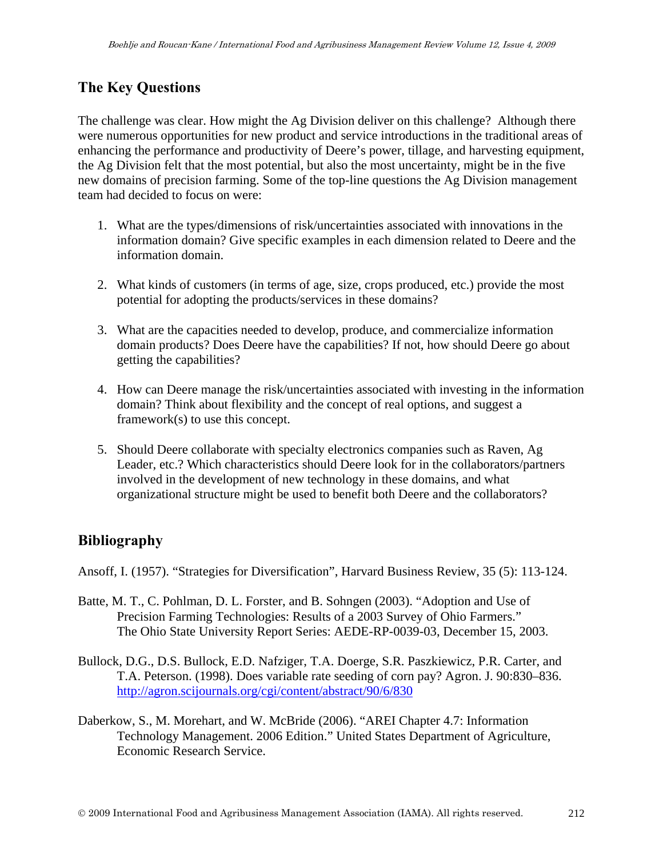# **The Key Questions**

The challenge was clear. How might the Ag Division deliver on this challenge? Although there were numerous opportunities for new product and service introductions in the traditional areas of enhancing the performance and productivity of Deere's power, tillage, and harvesting equipment, the Ag Division felt that the most potential, but also the most uncertainty, might be in the five new domains of precision farming. Some of the top-line questions the Ag Division management team had decided to focus on were:

- 1. What are the types/dimensions of risk/uncertainties associated with innovations in the information domain? Give specific examples in each dimension related to Deere and the information domain.
- 2. What kinds of customers (in terms of age, size, crops produced, etc.) provide the most potential for adopting the products/services in these domains?
- 3. What are the capacities needed to develop, produce, and commercialize information domain products? Does Deere have the capabilities? If not, how should Deere go about getting the capabilities?
- 4. How can Deere manage the risk/uncertainties associated with investing in the information domain? Think about flexibility and the concept of real options, and suggest a framework(s) to use this concept.
- 5. Should Deere collaborate with specialty electronics companies such as Raven, Ag Leader, etc.? Which characteristics should Deere look for in the collaborators/partners involved in the development of new technology in these domains, and what organizational structure might be used to benefit both Deere and the collaborators?

# **Bibliography**

Ansoff, I. (1957). "Strategies for Diversification", Harvard Business Review, 35 (5): 113-124.

- Batte, M. T., C. Pohlman, D. L. Forster, and B. Sohngen (2003). "Adoption and Use of Precision Farming Technologies: Results of a 2003 Survey of Ohio Farmers." The Ohio State University Report Series: AEDE-RP-0039-03, December 15, 2003.
- Bullock, D.G., D.S. Bullock, E.D. Nafziger, T.A. Doerge, S.R. Paszkiewicz, P.R. Carter, and T.A. Peterson. (1998). Does variable rate seeding of corn pay? Agron. J. 90:830–836. http://agron.scijournals.org/cgi/content/abstract/90/6/830
- Daberkow, S., M. Morehart, and W. McBride (2006). "AREI Chapter 4.7: Information Technology Management. 2006 Edition." United States Department of Agriculture, Economic Research Service.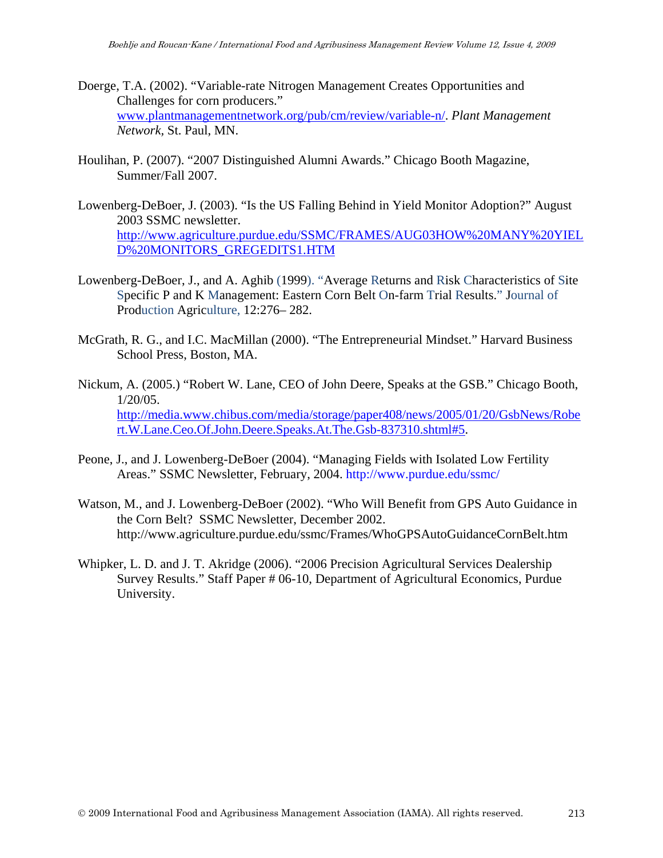- Doerge, T.A. (2002). "Variable-rate Nitrogen Management Creates Opportunities and Challenges for corn producers." www.plantmanagementnetwork.org/pub/cm/review/variable-n/. *Plant Management Network,* St. Paul, MN.
- Houlihan, P. (2007). "2007 Distinguished Alumni Awards." Chicago Booth Magazine, Summer/Fall 2007.
- Lowenberg-DeBoer, J. (2003). "Is the US Falling Behind in Yield Monitor Adoption?" August 2003 SSMC newsletter. http://www.agriculture.purdue.edu/SSMC/FRAMES/AUG03HOW%20MANY%20YIEL D%20MONITORS\_GREGEDITS1.HTM
- Lowenberg-DeBoer, J., and A. Aghib (1999). "Average Returns and Risk Characteristics of Site Specific P and K Management: Eastern Corn Belt On-farm Trial Results." Journal of Production Agriculture, 12:276– 282.
- McGrath, R. G., and I.C. MacMillan (2000). "The Entrepreneurial Mindset." Harvard Business School Press, Boston, MA.
- Nickum, A. (2005.) "Robert W. Lane, CEO of John Deere, Speaks at the GSB." Chicago Booth, 1/20/05. http://media.www.chibus.com/media/storage/paper408/news/2005/01/20/GsbNews/Robe rt.W.Lane.Ceo.Of.John.Deere.Speaks.At.The.Gsb-837310.shtml#5.
- Peone, J., and J. Lowenberg-DeBoer (2004). "Managing Fields with Isolated Low Fertility Areas." SSMC Newsletter, February, 2004. http://www.purdue.edu/ssmc/
- Watson, M., and J. Lowenberg-DeBoer (2002). "Who Will Benefit from GPS Auto Guidance in the Corn Belt? SSMC Newsletter, December 2002. http://www.agriculture.purdue.edu/ssmc/Frames/WhoGPSAutoGuidanceCornBelt.htm
- Whipker, L. D. and J. T. Akridge (2006). "2006 Precision Agricultural Services Dealership Survey Results." Staff Paper # 06-10, Department of Agricultural Economics, Purdue University.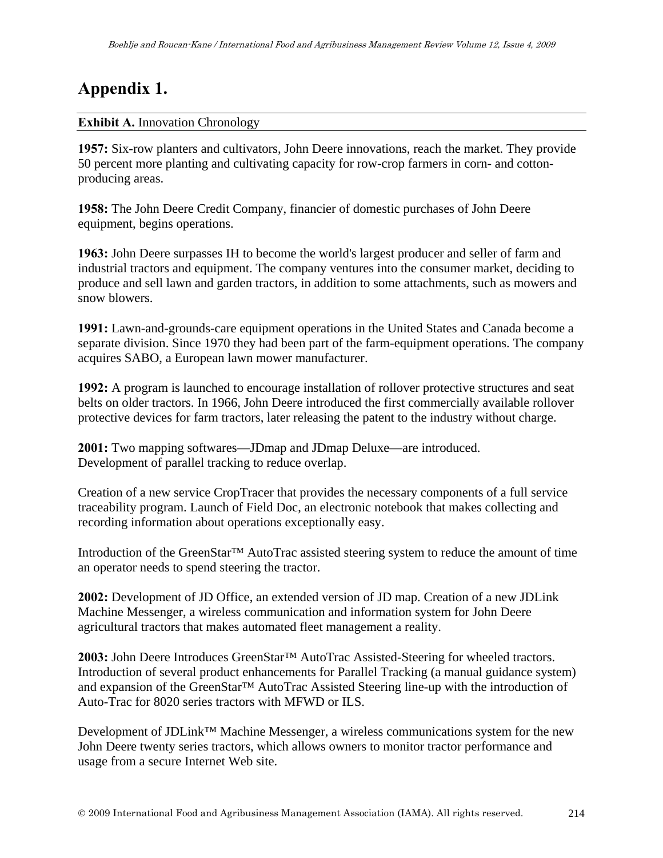# **Appendix 1.**

#### **Exhibit A. Innovation Chronology**

**1957:** Six-row planters and cultivators, John Deere innovations, reach the market. They provide 50 percent more planting and cultivating capacity for row-crop farmers in corn- and cottonproducing areas.

**1958:** The John Deere Credit Company, financier of domestic purchases of John Deere equipment, begins operations.

**1963:** John Deere surpasses IH to become the world's largest producer and seller of farm and industrial tractors and equipment. The company ventures into the consumer market, deciding to produce and sell lawn and garden tractors, in addition to some attachments, such as mowers and snow blowers.

**1991:** Lawn-and-grounds-care equipment operations in the United States and Canada become a separate division. Since 1970 they had been part of the farm-equipment operations. The company acquires SABO, a European lawn mower manufacturer.

**1992:** A program is launched to encourage installation of rollover protective structures and seat belts on older tractors. In 1966, John Deere introduced the first commercially available rollover protective devices for farm tractors, later releasing the patent to the industry without charge.

**2001:** Two mapping softwares—JDmap and JDmap Deluxe—are introduced. Development of parallel tracking to reduce overlap.

Creation of a new service CropTracer that provides the necessary components of a full service traceability program. Launch of Field Doc, an electronic notebook that makes collecting and recording information about operations exceptionally easy.

Introduction of the GreenStar™ AutoTrac assisted steering system to reduce the amount of time an operator needs to spend steering the tractor.

**2002:** Development of JD Office, an extended version of JD map. Creation of a new JDLink Machine Messenger, a wireless communication and information system for John Deere agricultural tractors that makes automated fleet management a reality.

**2003:** John Deere Introduces GreenStar™ AutoTrac Assisted-Steering for wheeled tractors. Introduction of several product enhancements for Parallel Tracking (a manual guidance system) and expansion of the GreenStar™ AutoTrac Assisted Steering line-up with the introduction of Auto-Trac for 8020 series tractors with MFWD or ILS.

Development of JDLink™ Machine Messenger, a wireless communications system for the new John Deere twenty series tractors, which allows owners to monitor tractor performance and usage from a secure Internet Web site.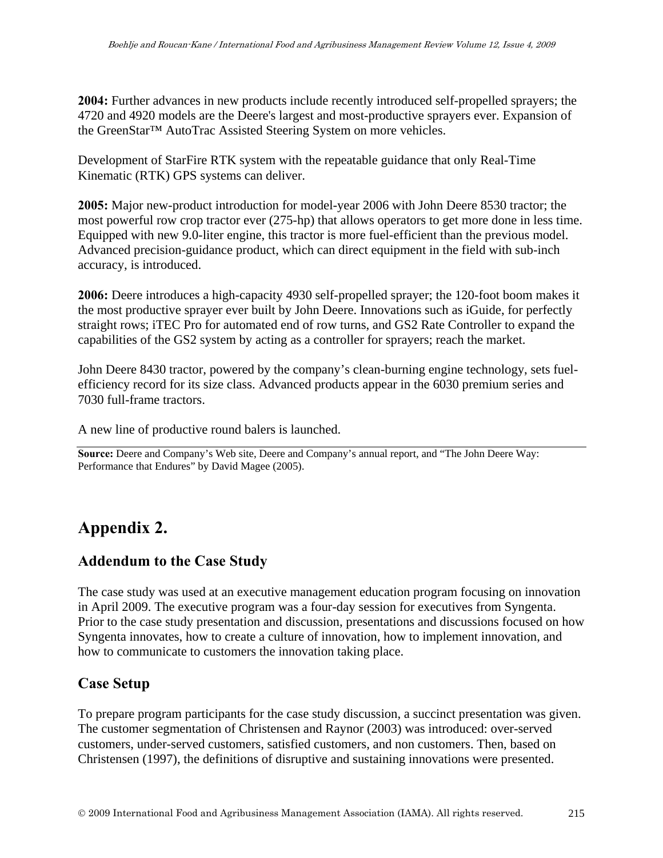**2004:** Further advances in new products include recently introduced self-propelled sprayers; the 4720 and 4920 models are the Deere's largest and most-productive sprayers ever. Expansion of the GreenStar™ AutoTrac Assisted Steering System on more vehicles.

Development of StarFire RTK system with the repeatable guidance that only Real-Time Kinematic (RTK) GPS systems can deliver.

**2005:** Major new-product introduction for model-year 2006 with John Deere 8530 tractor; the most powerful row crop tractor ever (275-hp) that allows operators to get more done in less time. Equipped with new 9.0-liter engine, this tractor is more fuel-efficient than the previous model. Advanced precision-guidance product, which can direct equipment in the field with sub-inch accuracy, is introduced.

**2006:** Deere introduces a high-capacity 4930 self-propelled sprayer; the 120-foot boom makes it the most productive sprayer ever built by John Deere. Innovations such as iGuide, for perfectly straight rows; iTEC Pro for automated end of row turns, and GS2 Rate Controller to expand the capabilities of the GS2 system by acting as a controller for sprayers; reach the market.

John Deere 8430 tractor, powered by the company's clean-burning engine technology, sets fuelefficiency record for its size class. Advanced products appear in the 6030 premium series and 7030 full-frame tractors.

A new line of productive round balers is launched.

**Source:** Deere and Company's Web site, Deere and Company's annual report, and "The John Deere Way: Performance that Endures" by David Magee (2005).

# **Appendix 2.**

### **Addendum to the Case Study**

The case study was used at an executive management education program focusing on innovation in April 2009. The executive program was a four-day session for executives from Syngenta. Prior to the case study presentation and discussion, presentations and discussions focused on how Syngenta innovates, how to create a culture of innovation, how to implement innovation, and how to communicate to customers the innovation taking place.

## **Case Setup**

To prepare program participants for the case study discussion, a succinct presentation was given. The customer segmentation of Christensen and Raynor (2003) was introduced: over-served customers, under-served customers, satisfied customers, and non customers. Then, based on Christensen (1997), the definitions of disruptive and sustaining innovations were presented.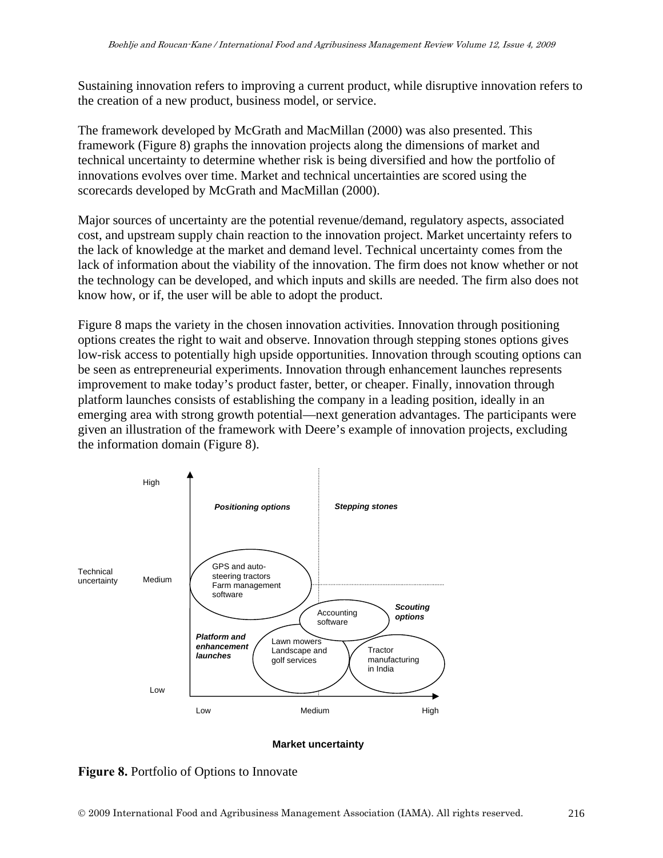Sustaining innovation refers to improving a current product, while disruptive innovation refers to the creation of a new product, business model, or service.

The framework developed by McGrath and MacMillan (2000) was also presented. This framework (Figure 8) graphs the innovation projects along the dimensions of market and technical uncertainty to determine whether risk is being diversified and how the portfolio of innovations evolves over time. Market and technical uncertainties are scored using the scorecards developed by McGrath and MacMillan (2000).

Major sources of uncertainty are the potential revenue/demand, regulatory aspects, associated cost, and upstream supply chain reaction to the innovation project. Market uncertainty refers to the lack of knowledge at the market and demand level. Technical uncertainty comes from the lack of information about the viability of the innovation. The firm does not know whether or not the technology can be developed, and which inputs and skills are needed. The firm also does not know how, or if, the user will be able to adopt the product.

Figure 8 maps the variety in the chosen innovation activities. Innovation through positioning options creates the right to wait and observe. Innovation through stepping stones options gives low-risk access to potentially high upside opportunities. Innovation through scouting options can be seen as entrepreneurial experiments. Innovation through enhancement launches represents improvement to make today's product faster, better, or cheaper. Finally, innovation through platform launches consists of establishing the company in a leading position, ideally in an emerging area with strong growth potential—next generation advantages. The participants were given an illustration of the framework with Deere's example of innovation projects, excluding the information domain (Figure 8).



#### **Market uncertainty**

**Figure 8.** Portfolio of Options to Innovate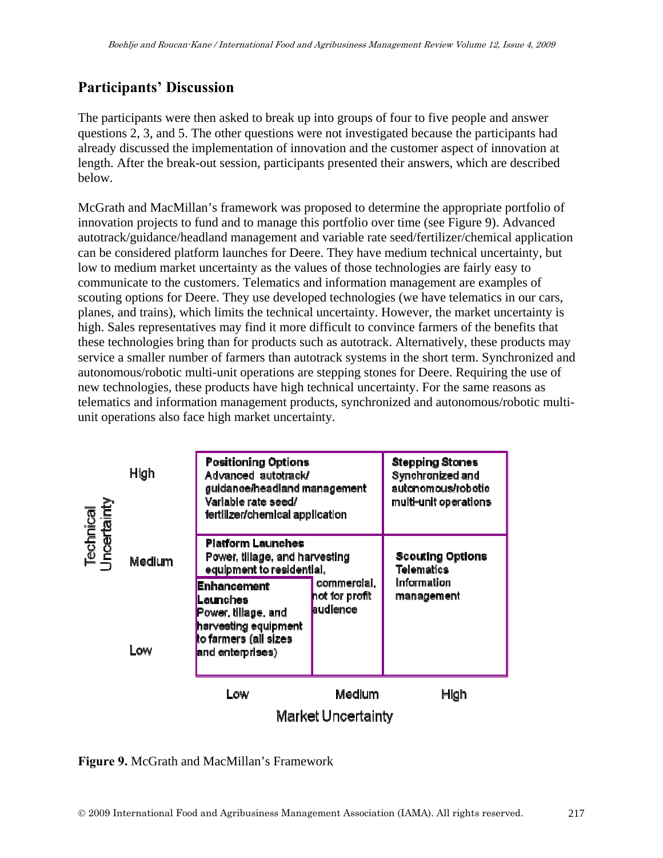# **Participants' Discussion**

The participants were then asked to break up into groups of four to five people and answer questions 2, 3, and 5. The other questions were not investigated because the participants had already discussed the implementation of innovation and the customer aspect of innovation at length. After the break-out session, participants presented their answers, which are described below.

McGrath and MacMillan's framework was proposed to determine the appropriate portfolio of innovation projects to fund and to manage this portfolio over time (see Figure 9). Advanced autotrack/guidance/headland management and variable rate seed/fertilizer/chemical application can be considered platform launches for Deere. They have medium technical uncertainty, but low to medium market uncertainty as the values of those technologies are fairly easy to communicate to the customers. Telematics and information management are examples of scouting options for Deere. They use developed technologies (we have telematics in our cars, planes, and trains), which limits the technical uncertainty. However, the market uncertainty is high. Sales representatives may find it more difficult to convince farmers of the benefits that these technologies bring than for products such as autotrack. Alternatively, these products may service a smaller number of farmers than autotrack systems in the short term. Synchronized and autonomous/robotic multi-unit operations are stepping stones for Deere. Requiring the use of new technologies, these products have high technical uncertainty. For the same reasons as telematics and information management products, synchronized and autonomous/robotic multiunit operations also face high market uncertainty.



**Figure 9.** McGrath and MacMillan's Framework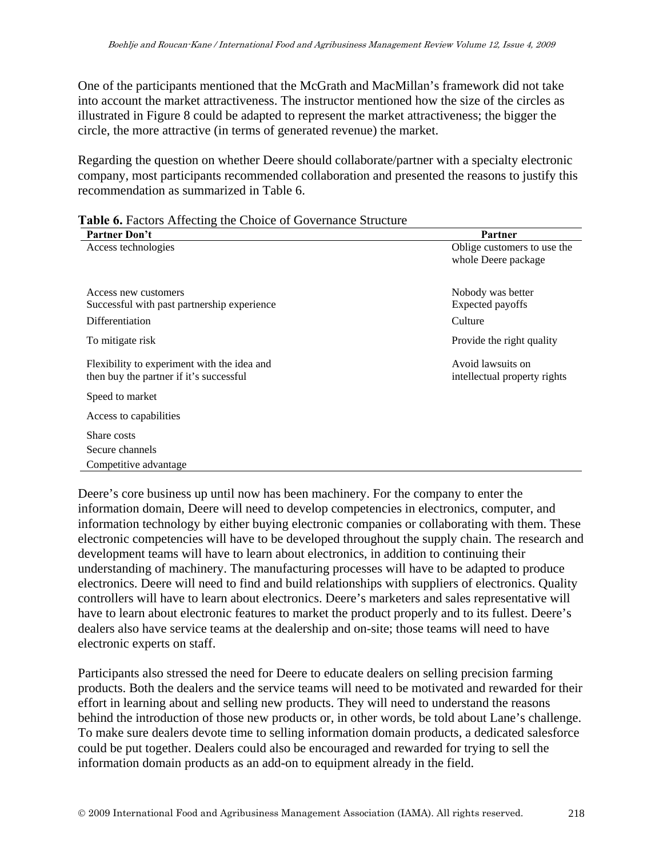One of the participants mentioned that the McGrath and MacMillan's framework did not take into account the market attractiveness. The instructor mentioned how the size of the circles as illustrated in Figure 8 could be adapted to represent the market attractiveness; the bigger the circle, the more attractive (in terms of generated revenue) the market.

Regarding the question on whether Deere should collaborate/partner with a specialty electronic company, most participants recommended collaboration and presented the reasons to justify this recommendation as summarized in Table 6.

| Partner Don't                               | Partner                      |
|---------------------------------------------|------------------------------|
| Access technologies                         | Oblige customers to use the  |
|                                             | whole Deere package          |
|                                             |                              |
| Access new customers                        | Nobody was better            |
| Successful with past partnership experience | Expected payoffs             |
| Differentiation                             | Culture                      |
| To mitigate risk                            | Provide the right quality    |
| Flexibility to experiment with the idea and | Avoid lawsuits on            |
| then buy the partner if it's successful     | intellectual property rights |
| Speed to market                             |                              |
| Access to capabilities                      |                              |
| Share costs                                 |                              |
| Secure channels                             |                              |
| Competitive advantage                       |                              |

|  |  | Table 6. Factors Affecting the Choice of Governance Structure |
|--|--|---------------------------------------------------------------|
|  |  |                                                               |

Deere's core business up until now has been machinery. For the company to enter the information domain, Deere will need to develop competencies in electronics, computer, and information technology by either buying electronic companies or collaborating with them. These electronic competencies will have to be developed throughout the supply chain. The research and development teams will have to learn about electronics, in addition to continuing their understanding of machinery. The manufacturing processes will have to be adapted to produce electronics. Deere will need to find and build relationships with suppliers of electronics. Quality controllers will have to learn about electronics. Deere's marketers and sales representative will have to learn about electronic features to market the product properly and to its fullest. Deere's dealers also have service teams at the dealership and on-site; those teams will need to have electronic experts on staff.

Participants also stressed the need for Deere to educate dealers on selling precision farming products. Both the dealers and the service teams will need to be motivated and rewarded for their effort in learning about and selling new products. They will need to understand the reasons behind the introduction of those new products or, in other words, be told about Lane's challenge. To make sure dealers devote time to selling information domain products, a dedicated salesforce could be put together. Dealers could also be encouraged and rewarded for trying to sell the information domain products as an add-on to equipment already in the field.